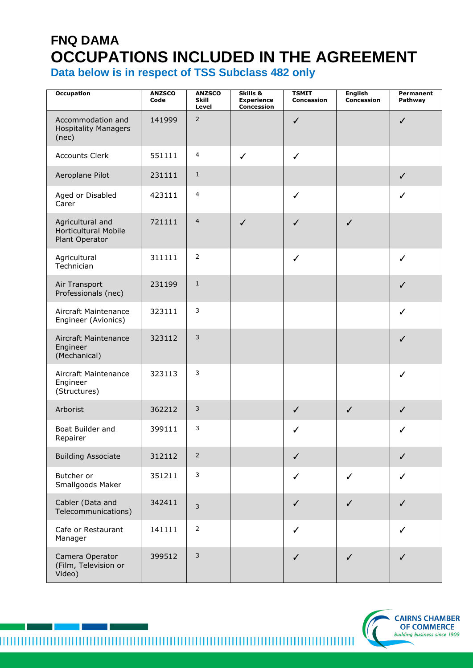## **FNQ DAMA OCCUPATIONS INCLUDED IN THE AGREEMENT**

**Data below is in respect of TSS Subclass 482 only**

| <b>Occupation</b>                                                 | <b>ANZSCO</b><br>Code | <b>ANZSCO</b><br><b>Skill</b><br>Level | Skills &<br><b>Experience</b><br><b>Concession</b> | <b>TSMIT</b><br><b>Concession</b> | <b>English</b><br>Concession | Permanent<br>Pathway |
|-------------------------------------------------------------------|-----------------------|----------------------------------------|----------------------------------------------------|-----------------------------------|------------------------------|----------------------|
| Accommodation and<br><b>Hospitality Managers</b><br>(nec)         | 141999                | $\overline{2}$                         |                                                    | $\checkmark$                      |                              | ✓                    |
| <b>Accounts Clerk</b>                                             | 551111                | 4                                      | $\checkmark$                                       | $\checkmark$                      |                              |                      |
| Aeroplane Pilot                                                   | 231111                | $\mathbf{1}$                           |                                                    |                                   |                              | $\checkmark$         |
| Aged or Disabled<br>Carer                                         | 423111                | $\overline{\mathbf{4}}$                |                                                    | $\checkmark$                      |                              | $\checkmark$         |
| Agricultural and<br><b>Horticultural Mobile</b><br>Plant Operator | 721111                | $\overline{4}$                         | $\checkmark$                                       | $\checkmark$                      | $\checkmark$                 |                      |
| Agricultural<br>Technician                                        | 311111                | $\overline{2}$                         |                                                    | $\checkmark$                      |                              | ✓                    |
| Air Transport<br>Professionals (nec)                              | 231199                | $\,1\,$                                |                                                    |                                   |                              | $\checkmark$         |
| Aircraft Maintenance<br>Engineer (Avionics)                       | 323111                | $\mathsf 3$                            |                                                    |                                   |                              | ✓                    |
| Aircraft Maintenance<br>Engineer<br>(Mechanical)                  | 323112                | $\mathsf 3$                            |                                                    |                                   |                              | ✓                    |
| Aircraft Maintenance<br>Engineer<br>(Structures)                  | 323113                | 3                                      |                                                    |                                   |                              | $\checkmark$         |
| Arborist                                                          | 362212                | $\mathsf 3$                            |                                                    | $\checkmark$                      | $\checkmark$                 | $\checkmark$         |
| Boat Builder and<br>Repairer                                      | 399111                | 3                                      |                                                    | ✓                                 |                              | ✓                    |
| <b>Building Associate</b>                                         | 312112                | $\mathsf{2}$                           |                                                    | $\checkmark$                      |                              | $\checkmark$         |
| Butcher or<br>Smallgoods Maker                                    | 351211                | $\mathsf 3$                            |                                                    | $\checkmark$                      | $\checkmark$                 | $\checkmark$         |
| Cabler (Data and<br>Telecommunications)                           | 342411                | $\overline{3}$                         |                                                    | $\checkmark$                      | $\checkmark$                 | $\checkmark$         |
| Cafe or Restaurant<br>Manager                                     | 141111                | $\mathsf{2}$                           |                                                    | $\checkmark$                      |                              | ✓                    |
| Camera Operator<br>(Film, Television or<br>Video)                 | 399512                | $\mathsf 3$                            |                                                    | ✓                                 | ✓                            | ✓                    |

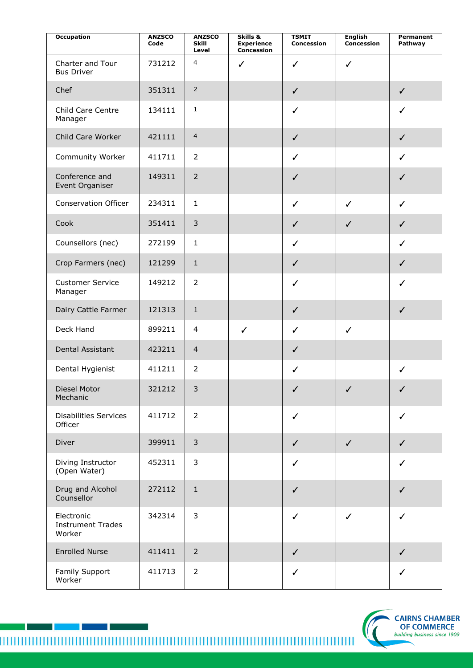| <b>Occupation</b>                                | <b>ANZSCO</b><br>Code | <b>ANZSCO</b><br>Skill<br>Level | Skills &<br><b>Experience</b><br>Concession | <b>TSMIT</b><br>Concession | <b>English</b><br>Concession | Permanent<br>Pathway |
|--------------------------------------------------|-----------------------|---------------------------------|---------------------------------------------|----------------------------|------------------------------|----------------------|
| Charter and Tour<br><b>Bus Driver</b>            | 731212                | $\overline{4}$                  | $\checkmark$                                | $\checkmark$               | $\checkmark$                 |                      |
| Chef                                             | 351311                | $\overline{2}$                  |                                             | $\checkmark$               |                              | $\checkmark$         |
| Child Care Centre<br>Manager                     | 134111                | $\mathbf{1}$                    |                                             | $\checkmark$               |                              | $\checkmark$         |
| Child Care Worker                                | 421111                | $\overline{4}$                  |                                             | $\checkmark$               |                              | $\checkmark$         |
| Community Worker                                 | 411711                | $\overline{2}$                  |                                             | $\checkmark$               |                              | $\checkmark$         |
| Conference and<br>Event Organiser                | 149311                | $\overline{2}$                  |                                             | $\checkmark$               |                              | $\checkmark$         |
| <b>Conservation Officer</b>                      | 234311                | $\mathbf 1$                     |                                             | $\checkmark$               | $\checkmark$                 | $\checkmark$         |
| Cook                                             | 351411                | $\mathsf 3$                     |                                             | $\checkmark$               | $\checkmark$                 | $\checkmark$         |
| Counsellors (nec)                                | 272199                | $\mathbf{1}$                    |                                             | $\checkmark$               |                              | $\checkmark$         |
| Crop Farmers (nec)                               | 121299                | $\mathbf{1}$                    |                                             | $\checkmark$               |                              | $\checkmark$         |
| <b>Customer Service</b><br>Manager               | 149212                | $\overline{2}$                  |                                             | $\checkmark$               |                              | ✓                    |
| Dairy Cattle Farmer                              | 121313                | $\mathbf{1}$                    |                                             | $\checkmark$               |                              | $\checkmark$         |
| Deck Hand                                        | 899211                | 4                               | $\checkmark$                                | $\checkmark$               | $\checkmark$                 |                      |
| Dental Assistant                                 | 423211                | $\overline{4}$                  |                                             | $\checkmark$               |                              |                      |
| Dental Hygienist                                 | 411211                | $\overline{2}$                  |                                             | $\checkmark$               |                              | $\checkmark$         |
| Diesel Motor<br>Mechanic                         | 321212                | 3                               |                                             | $\checkmark$               | $\checkmark$                 | $\checkmark$         |
| <b>Disabilities Services</b><br>Officer          | 411712                | $\overline{2}$                  |                                             | $\checkmark$               |                              | $\checkmark$         |
| Diver                                            | 399911                | $\mathsf 3$                     |                                             | $\checkmark$               | $\checkmark$                 | $\checkmark$         |
| Diving Instructor<br>(Open Water)                | 452311                | 3                               |                                             | $\checkmark$               |                              | $\checkmark$         |
| Drug and Alcohol<br>Counsellor                   | 272112                | $\mathbf 1$                     |                                             | $\checkmark$               |                              | $\checkmark$         |
| Electronic<br><b>Instrument Trades</b><br>Worker | 342314                | $\mathsf 3$                     |                                             | $\checkmark$               | $\checkmark$                 | $\checkmark$         |
| <b>Enrolled Nurse</b>                            | 411411                | $\overline{2}$                  |                                             | $\checkmark$               |                              | $\checkmark$         |
| Family Support<br>Worker                         | 411713                | $\overline{2}$                  |                                             | $\checkmark$               |                              | $\checkmark$         |

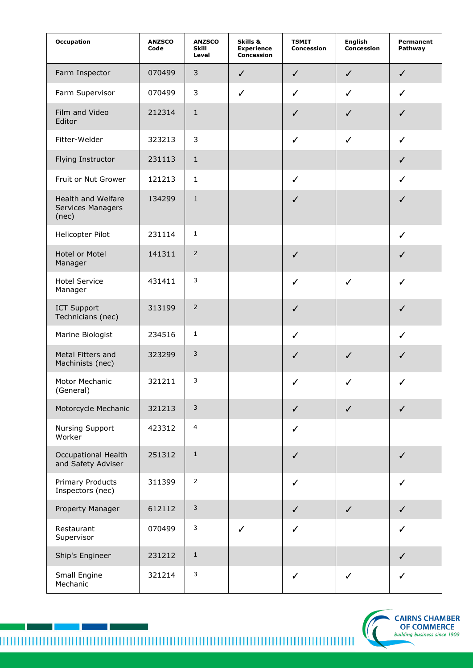| <b>Occupation</b>                                       | <b>ANZSCO</b><br>Code | <b>ANZSCO</b><br>Skill<br>Level | Skills &<br><b>Experience</b><br><b>Concession</b> | <b>TSMIT</b><br>Concession | <b>English</b><br>Concession | Permanent<br>Pathway |
|---------------------------------------------------------|-----------------------|---------------------------------|----------------------------------------------------|----------------------------|------------------------------|----------------------|
| Farm Inspector                                          | 070499                | $\mathsf 3$                     | $\checkmark$                                       | $\checkmark$               | $\checkmark$                 | $\checkmark$         |
| Farm Supervisor                                         | 070499                | 3                               | $\checkmark$                                       | ✓                          | ✓                            | ✓                    |
| Film and Video<br>Editor                                | 212314                | $\mathbf 1$                     |                                                    | ✓                          | $\checkmark$                 | ✓                    |
| Fitter-Welder                                           | 323213                | $\mathbf{3}$                    |                                                    | $\checkmark$               | $\checkmark$                 | $\checkmark$         |
| Flying Instructor                                       | 231113                | $\mathbf{1}$                    |                                                    |                            |                              | $\checkmark$         |
| Fruit or Nut Grower                                     | 121213                | $\mathbf{1}$                    |                                                    | $\checkmark$               |                              | ✓                    |
| Health and Welfare<br><b>Services Managers</b><br>(nec) | 134299                | $\mathbf{1}$                    |                                                    | ✓                          |                              | ✓                    |
| Helicopter Pilot                                        | 231114                | $\mathbf{1}$                    |                                                    |                            |                              | $\checkmark$         |
| <b>Hotel or Motel</b><br>Manager                        | 141311                | $\overline{2}$                  |                                                    | $\checkmark$               |                              | $\checkmark$         |
| <b>Hotel Service</b><br>Manager                         | 431411                | 3                               |                                                    | ✓                          | ✓                            | $\checkmark$         |
| <b>ICT Support</b><br>Technicians (nec)                 | 313199                | $\overline{2}$                  |                                                    | ✓                          |                              | $\checkmark$         |
| Marine Biologist                                        | 234516                | $\mathbf{1}$                    |                                                    | $\checkmark$               |                              | $\checkmark$         |
| Metal Fitters and<br>Machinists (nec)                   | 323299                | 3                               |                                                    | $\checkmark$               | ✓                            | ✓                    |
| Motor Mechanic<br>(General)                             | 321211                | 3                               |                                                    | ✓                          | ✓                            | ✓                    |
| Motorcycle Mechanic                                     | 321213                | $\mathsf{3}$                    |                                                    | $\checkmark$               | $\checkmark$                 | $\checkmark$         |
| Nursing Support<br>Worker                               | 423312                | $\overline{4}$                  |                                                    | ✓                          |                              |                      |
| Occupational Health<br>and Safety Adviser               | 251312                | $\,1\,$                         |                                                    | $\checkmark$               |                              | $\checkmark$         |
| <b>Primary Products</b><br>Inspectors (nec)             | 311399                | $\overline{2}$                  |                                                    | ✓                          |                              | ✓                    |
| Property Manager                                        | 612112                | $\mathsf 3$                     |                                                    | $\checkmark$               | $\checkmark$                 | $\checkmark$         |
| Restaurant<br>Supervisor                                | 070499                | $\mathsf 3$                     | $\checkmark$                                       | ✓                          |                              | ✓                    |
| Ship's Engineer                                         | 231212                | $\,1\,$                         |                                                    |                            |                              | $\checkmark$         |
| Small Engine<br>Mechanic                                | 321214                | $\mathsf 3$                     |                                                    | $\checkmark$               | $\checkmark$                 | ✓                    |